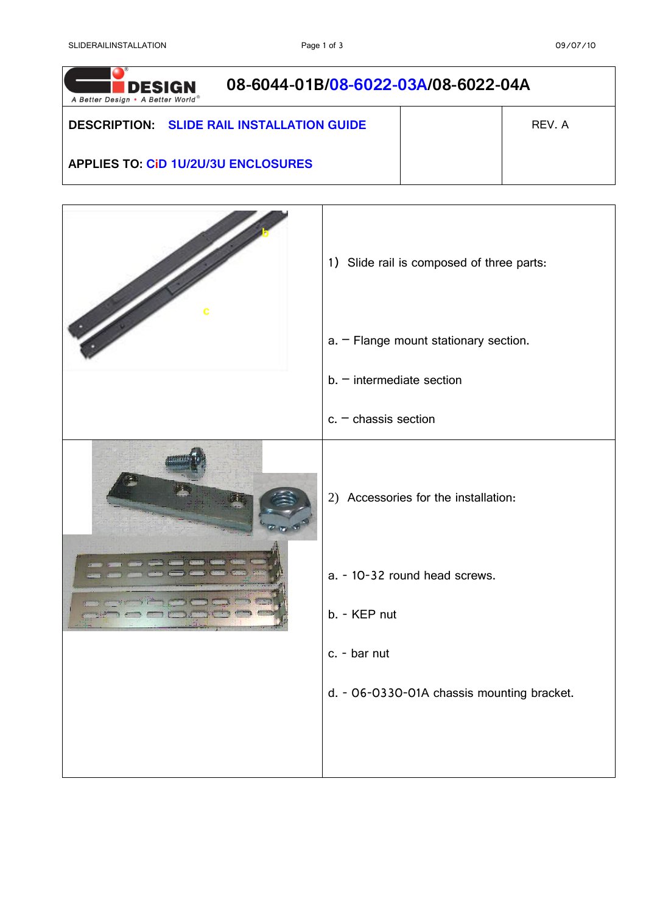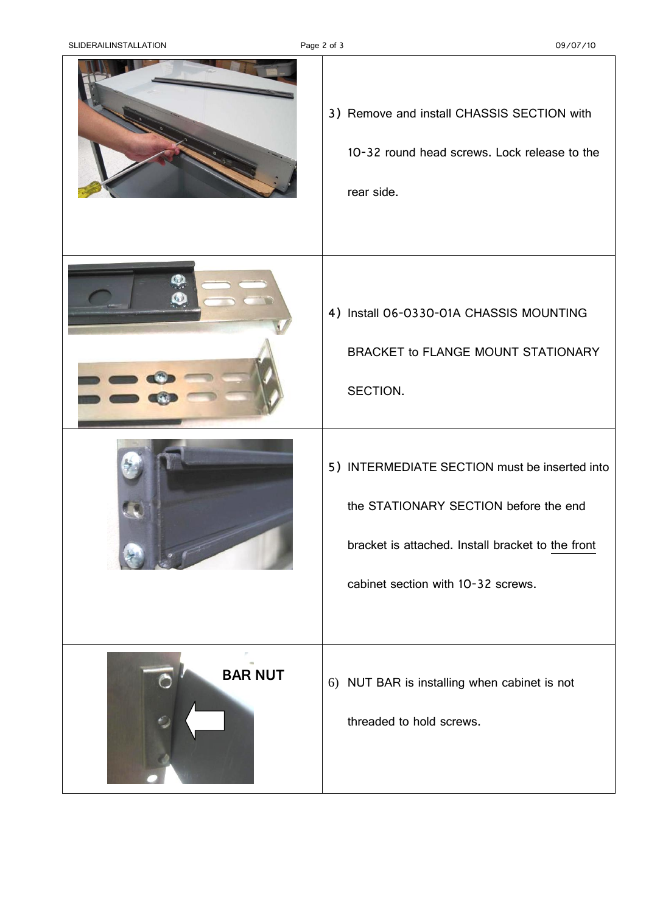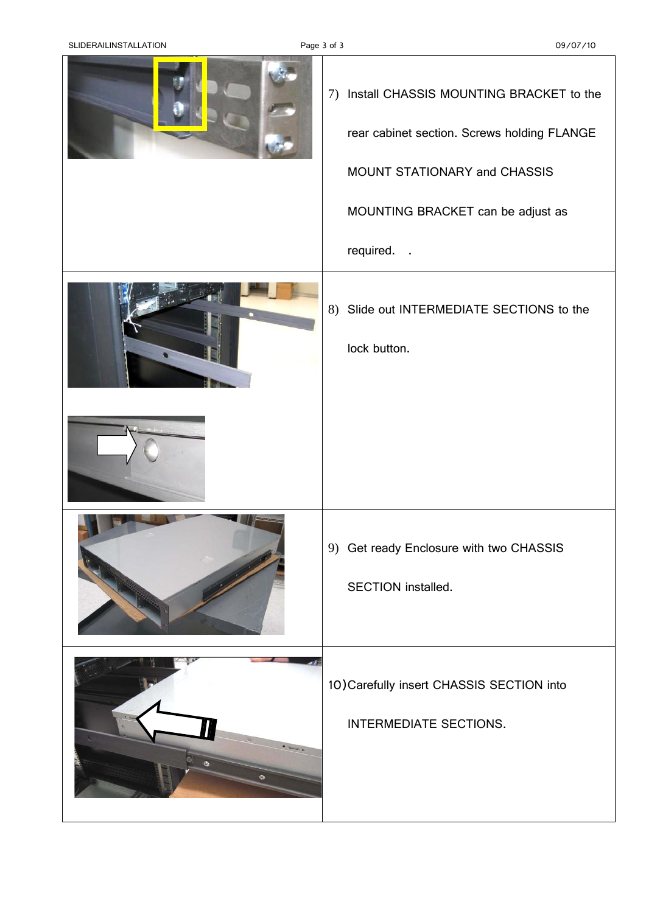